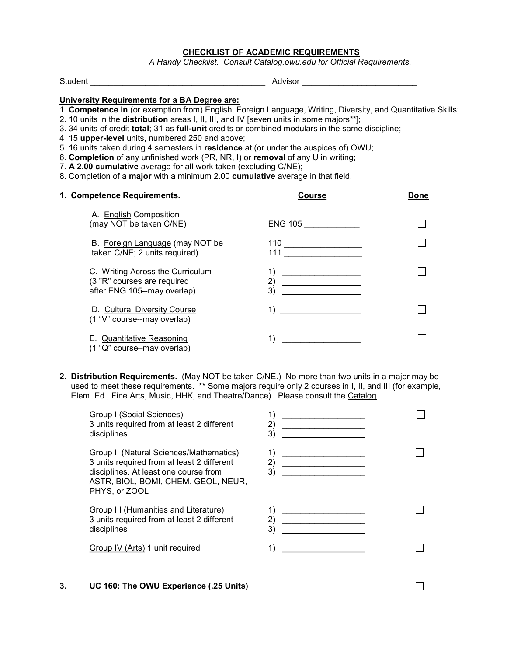## CHECKLIST OF ACADEMIC REQUIREMENTS

A Handy Checklist. Consult Catalog.owu.edu for Official Requirements.

Student \_\_\_\_\_\_\_\_\_\_\_\_\_\_\_\_\_\_\_\_\_\_\_\_\_\_\_\_\_\_\_\_\_\_\_\_\_\_ Advisor \_\_\_\_\_\_\_\_\_\_\_\_\_\_\_\_\_\_\_\_\_\_\_\_\_

## University Requirements for a BA Degree are:

- 1. Competence in (or exemption from) English, Foreign Language, Writing, Diversity, and Quantitative Skills;
- 2. 10 units in the distribution areas I, II, III, and IV [seven units in some majors\*\*];
- 3. 34 units of credit total; 31 as full-unit credits or combined modulars in the same discipline;
- 4 15 upper-level units, numbered 250 and above;
- 5. 16 units taken during 4 semesters in residence at (or under the auspices of) OWU;
- 6. Completion of any unfinished work (PR, NR, I) or removal of any U in writing;
- 7. A 2.00 cumulative average for all work taken (excluding C/NE);
- 8. Completion of a major with a minimum 2.00 cumulative average in that field.

| 1. Competence Requirements.                                                                    | <b>Course</b>                                                                        | Done |
|------------------------------------------------------------------------------------------------|--------------------------------------------------------------------------------------|------|
| A. English Composition<br>(may NOT be taken C/NE)                                              | ENG 105                                                                              |      |
| B. Foreign Language (may NOT be<br>taken C/NE; 2 units required)                               | $\begin{array}{c c} \hline \end{array}$ $\begin{array}{c} \hline \end{array}$<br>111 |      |
| C. Writing Across the Curriculum<br>(3 "R" courses are required<br>after ENG 105--may overlap) | 1)<br>2)<br>3)                                                                       |      |
| D. Cultural Diversity Course<br>(1 "V" course--may overlap)                                    | 1)                                                                                   |      |
| E. Quantitative Reasoning<br>(1 "Q" course–may overlap)                                        | 1)                                                                                   |      |

2. Distribution Requirements. (May NOT be taken C/NE.) No more than two units in a major may be used to meet these requirements. \*\* Some majors require only 2 courses in I, II, and III (for example, Elem. Ed., Fine Arts, Music, HHK, and Theatre/Dance). Please consult the Catalog.

| Group I (Social Sciences)<br>3 units required from at least 2 different<br>disciplines.                                                                                                | 2)<br>3)       |  |
|----------------------------------------------------------------------------------------------------------------------------------------------------------------------------------------|----------------|--|
| Group II (Natural Sciences/Mathematics)<br>3 units required from at least 2 different<br>disciplines. At least one course from<br>ASTR, BIOL, BOMI, CHEM, GEOL, NEUR,<br>PHYS, or ZOOL | 1)<br>2)<br>3) |  |
| Group III (Humanities and Literature)<br>3 units required from at least 2 different<br>disciplines                                                                                     | 2)<br>3)       |  |
| Group IV (Arts) 1 unit required                                                                                                                                                        |                |  |

 $\Box$ 

3. UC 160: The OWU Experience (.25 Units)